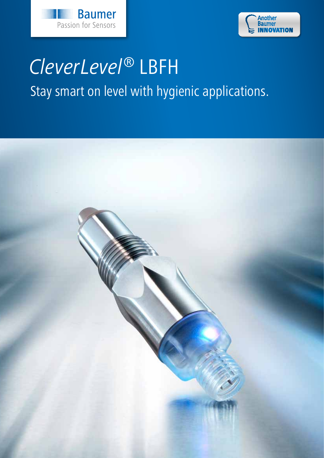



## *CleverLevel®* LBFH Stay smart on level with hygienic applications.